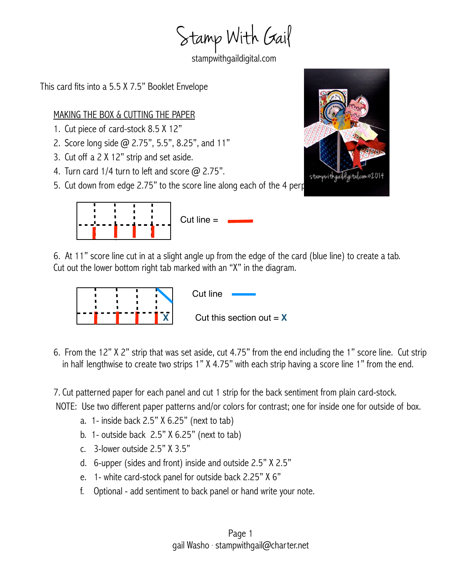Stamp With Gail

stampwithgaildigital.com

This card fits into a 5.5 X 7.5" Booklet Envelope

## MAKING THE BOX & CUTTING THE PAPER

- 1. Cut piece of card-stock 8.5 X 12"
- 2. Score long side @ 2.75", 5.5", 8.25", and 11"
- 3. Cut off a 2 X 12" strip and set aside.
- 4. Turn card  $1/4$  turn to left and score  $\omega$  2.75".
- 5. Cut down from edge 2.75" to the score line along each of the 4 perp





6. At 11" score line cut in at a slight angle up from the edge of the card (blue line) to create a tab. Cut out the lower bottom right tab marked with an "X" in the diagram.



Cut line Cut this section out  $= X$ 

6. From the 12" X 2" strip that was set aside, cut 4.75" from the end including the 1" score line. Cut strip in half lengthwise to create two strips 1" X 4.75" with each strip having a score line 1" from the end.

7. Cut patterned paper for each panel and cut 1 strip for the back sentiment from plain card-stock.

NOTE: Use two different paper patterns and/or colors for contrast; one for inside one for outside of box.

- a. 1- inside back  $2.5$ "  $X$  6.25" (next to tab)
- b. 1- outside back 2.5" X 6.25" (next to tab)
- c. 3-lower outside 2.5" X 3.5"
- d. 6-upper (sides and front) inside and outside 2.5" X 2.5"
- e. 1- white card-stock panel for outside back 2.25" X 6"
- f. Optional add sentiment to back panel or hand write your note.